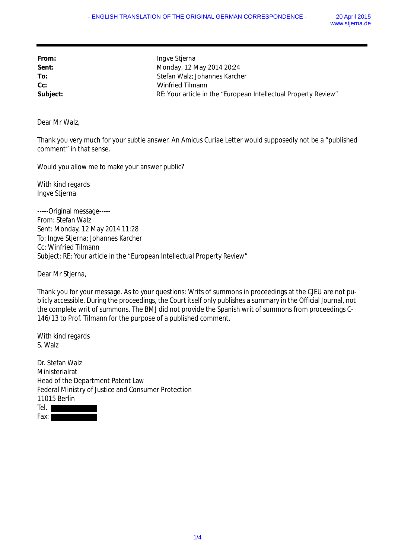| From:    | Ingve Stjerna                                                   |
|----------|-----------------------------------------------------------------|
| Sent:    | Monday, 12 May 2014 20:24                                       |
| To:      | Stefan Walz; Johannes Karcher                                   |
| $Cc$ :   | Winfried Tilmann                                                |
| Subject: | RE: Your article in the "European Intellectual Property Review" |

Dear Mr Walz,

Thank you very much for your subtle answer. An Amicus Curiae Letter would supposedly not be a "published comment" in that sense.

Would you allow me to make your answer public?

With kind regards Ingve Stjerna

-----Original message----- From: Stefan Walz Sent: Monday, 12 May 2014 11:28 To: Ingve Stjerna; Johannes Karcher Cc: Winfried Tilmann Subject: RE: Your article in the "European Intellectual Property Review"

Dear Mr Stjerna,

Thank you for your message. As to your questions: Writs of summons in proceedings at the CJEU are not publicly accessible. During the proceedings, the Court itself only publishes a summary in the Official Journal, not the complete writ of summons. The BMJ did not provide the Spanish writ of summons from proceedings C-146/13 to Prof. Tilmann for the purpose of a published comment.

With kind regards S. Walz

Dr. Stefan Walz Ministerialrat Head of the Department Patent Law Federal Ministry of Justice and Consumer Protection 11015 Berlin Tel. I Fax:  $\blacksquare$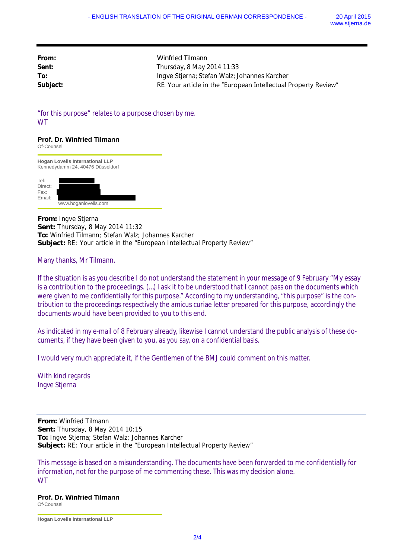| From:    | Winfried Tilmann                                                |
|----------|-----------------------------------------------------------------|
| Sent:    | Thursday, 8 May 2014 11:33                                      |
| To:      | Ingve Stjerna; Stefan Walz; Johannes Karcher                    |
| Subject: | RE: Your article in the "European Intellectual Property Review" |

"for this purpose" relates to a purpose chosen by me. **WT** 

## **Prof. Dr. Winfried Tilmann**

Of-Counsel **Hogan Lovells International LLP** Kennedydamm 24, 40476 Düsseldorf Tel: Direct: Fax: Email: www.hoganlovells.com

**From:** Ingve Stjerna **Sent:** Thursday, 8 May 2014 11:32 **To:** Winfried Tilmann; Stefan Walz; Johannes Karcher **Subject:** RE: Your article in the "European Intellectual Property Review"

Many thanks, Mr Tilmann.

If the situation is as you describe I do not understand the statement in your message of 9 February "My essay is a contribution to the proceedings. (…) I ask it to be understood that I cannot pass on the documents which were given to me confidentially for this purpose." According to my understanding, "this purpose" is the contribution to the proceedings respectively the amicus curiae letter prepared for this purpose, accordingly the documents would have been provided to you to this end.

As indicated in my e-mail of 8 February already, likewise I cannot understand the public analysis of these documents, if they have been given to you, as you say, on a confidential basis.

I would very much appreciate it, if the Gentlemen of the BMJ could comment on this matter.

With kind regards Ingve Stjerna

**From:** Winfried Tilmann **Sent:** Thursday, 8 May 2014 10:15 **To:** Ingve Stjerna; Stefan Walz; Johannes Karcher **Subject:** RE: Your article in the "European Intellectual Property Review"

This message is based on a misunderstanding. The documents have been forwarded to me confidentially for information, not for the purpose of me commenting these. This was my decision alone. **WT** 

**Prof. Dr. Winfried Tilmann**

Of-Counsel

**Hogan Lovells International LLP**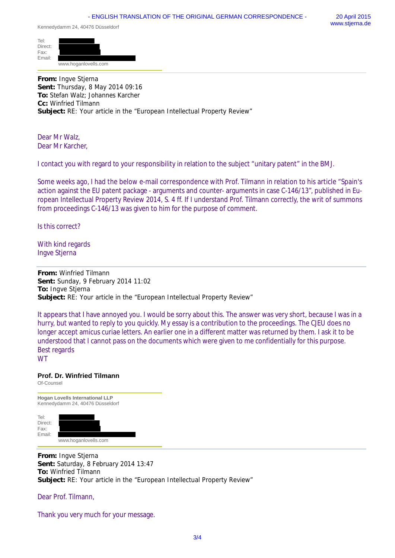Kennedydamm 24, 40476 Düsseldorf

| Tel:<br>Direct:<br>Fax: |                      |  |
|-------------------------|----------------------|--|
| Email:                  |                      |  |
|                         | www.hoganlovells.com |  |

**From:** Ingve Stjerna **Sent:** Thursday, 8 May 2014 09:16 **To:** Stefan Walz; Johannes Karcher **Cc:** Winfried Tilmann **Subject:** RE: Your article in the "European Intellectual Property Review"

Dear Mr Walz, Dear Mr Karcher,

I contact you with regard to your responsibility in relation to the subject "unitary patent" in the BMJ.

Some weeks ago, I had the below e-mail correspondence with Prof. Tilmann in relation to his article "Spain's action against the EU patent package - arguments and counter- arguments in case C-146/13", published in European Intellectual Property Review 2014, S. 4 ff. If I understand Prof. Tilmann correctly, the writ of summons from proceedings C-146/13 was given to him for the purpose of comment.

Is this correct?

With kind regards Ingve Stjerna

**From:** Winfried Tilmann **Sent:** Sunday, 9 February 2014 11:02 **To:** Ingve Stjerna **Subject:** RE: Your article in the "European Intellectual Property Review"

It appears that I have annoyed you. I would be sorry about this. The answer was very short, because I was in a hurry, but wanted to reply to you quickly. My essay is a contribution to the proceedings. The CJEU does no longer accept amicus curiae letters. An earlier one in a different matter was returned by them. I ask it to be understood that I cannot pass on the documents which were given to me confidentially for this purpose. Best regards **WT** 

## **Prof. Dr. Winfried Tilmann**

Of-Counsel

**Hogan Lovells International LLP** Kennedydamm 24, 40476 Düsseldorf Tel: Direct: Fax: Email: www.hoganlovells.com

**From:** Ingve Stjerna **Sent:** Saturday, 8 February 2014 13:47 **To:** Winfried Tilmann **Subject:** RE: Your article in the "European Intellectual Property Review"

Dear Prof. Tilmann,

Thank you very much for your message.